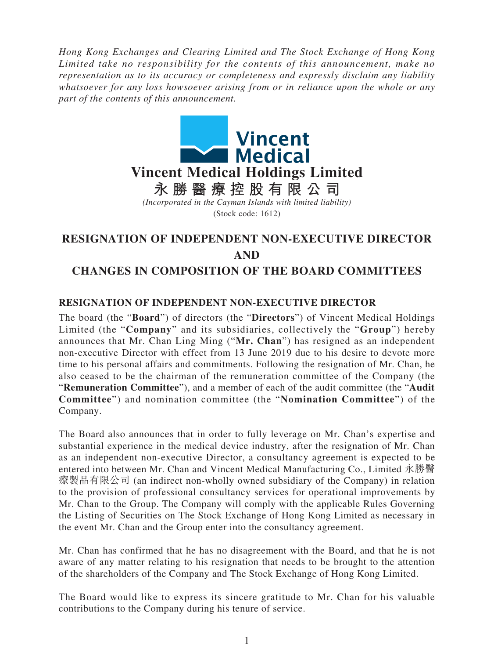*Hong Kong Exchanges and Clearing Limited and The Stock Exchange of Hong Kong Limited take no responsibility for the contents of this announcement, make no representation as to its accuracy or completeness and expressly disclaim any liability whatsoever for any loss howsoever arising from or in reliance upon the whole or any part of the contents of this announcement.*



(Stock code: 1612)

# **RESIGNATION OF INDEPENDENT NON-EXECUTIVE DIRECTOR AND CHANGES IN COMPOSITION OF THE BOARD COMMITTEES**

## **RESIGNATION OF INDEPENDENT NON-EXECUTIVE DIRECTOR**

The board (the "**Board**") of directors (the "**Directors**") of Vincent Medical Holdings Limited (the "**Company**" and its subsidiaries, collectively the "**Group**") hereby announces that Mr. Chan Ling Ming ("**Mr. Chan**") has resigned as an independent non-executive Director with effect from 13 June 2019 due to his desire to devote more time to his personal affairs and commitments. Following the resignation of Mr. Chan, he also ceased to be the chairman of the remuneration committee of the Company (the "**Remuneration Committee**"), and a member of each of the audit committee (the "**Audit Committee**") and nomination committee (the "**Nomination Committee**") of the Company.

The Board also announces that in order to fully leverage on Mr. Chan's expertise and substantial experience in the medical device industry, after the resignation of Mr. Chan as an independent non-executive Director, a consultancy agreement is expected to be entered into between Mr. Chan and Vincent Medical Manufacturing Co., Limited 永勝醫 療製品有限公司 (an indirect non-wholly owned subsidiary of the Company) in relation to the provision of professional consultancy services for operational improvements by Mr. Chan to the Group. The Company will comply with the applicable Rules Governing the Listing of Securities on The Stock Exchange of Hong Kong Limited as necessary in the event Mr. Chan and the Group enter into the consultancy agreement.

Mr. Chan has confirmed that he has no disagreement with the Board, and that he is not aware of any matter relating to his resignation that needs to be brought to the attention of the shareholders of the Company and The Stock Exchange of Hong Kong Limited.

The Board would like to express its sincere gratitude to Mr. Chan for his valuable contributions to the Company during his tenure of service.